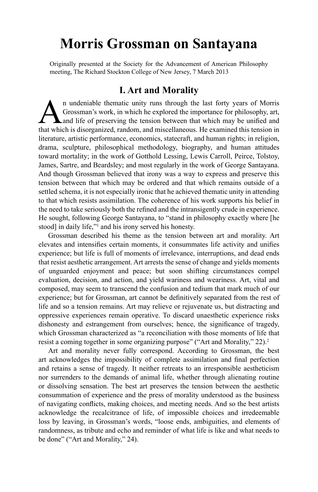# **Morris Grossman on Santayana**

Originally presented at the Society for the Advancement of American Philosophy meeting, The Richard Stockton College of New Jersey, 7 March 2013

#### **I. Art and Morality**

**A** n undeniable thematic unity runs through the last forty years of Morris Grossman's work, in which he explored the importance for philosophy, art, and life of preserving the tension between that which may be unified and Grossman's work, in which he explored the importance for philosophy, art, that which is disorganized, random, and miscellaneous. He examined this tension in literature, artistic performance, economics, statecraft, and human rights; in religion, drama, sculpture, philosophical methodology, biography, and human attitudes toward mortality; in the work of Gotthold Lessing, Lewis Carroll, Peirce, Tolstoy, James, Sartre, and Beardsley; and most regularly in the work of George Santayana. And though Grossman believed that irony was a way to express and preserve this tension between that which may be ordered and that which remains outside of a settled schema, it is not especially ironic that he achieved thematic unity in attending to that which resists assimilation. The coherence of his work supports his belief in the need to take seriously both the refined and the intransigently crude in experience. He sought, following George Santayana, to "stand in philosophy exactly where [he stood] in daily life,"<sup>1</sup> and his irony served his honesty.

Grossman described his theme as the tension between art and morality. Art elevates and intensifies certain moments, it consummates life activity and unifies experience; but life is full of moments of irrelevance, interruptions, and dead ends that resist aesthetic arrangement. Art arrests the sense of change and yields moments of unguarded enjoyment and peace; but soon shifting circumstances compel evaluation, decision, and action, and yield wariness and weariness. Art, vital and composed, may seem to transcend the confusion and tedium that mark much of our experience; but for Grossman, art cannot be definitively separated from the rest of life and so a tension remains. Art may relieve or rejuvenate us, but distracting and oppressive experiences remain operative. To discard unaesthetic experience risks dishonesty and estrangement from ourselves; hence, the significance of tragedy, which Grossman characterized as "a reconciliation with those moments of life that resist a coming together in some organizing purpose" ("Art and Morality," 22).<sup>2</sup>

Art and morality never fully correspond. According to Grossman, the best art acknowledges the impossibility of complete assimilation and final perfection and retains a sense of tragedy. It neither retreats to an irresponsible aestheticism nor surrenders to the demands of animal life, whether through alienating routine or dissolving sensation. The best art preserves the tension between the aesthetic consummation of experience and the press of morality understood as the business of navigating conflicts, making choices, and meeting needs. And so the best artists acknowledge the recalcitrance of life, of impossible choices and irredeemable loss by leaving, in Grossman's words, "loose ends, ambiguities, and elements of randomness, as tribute and echo and reminder of what life is like and what needs to be done" ("Art and Morality," 24).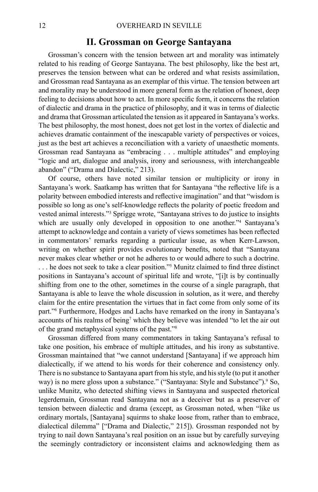#### **II. Grossman on George Santayana**

Grossman's concern with the tension between art and morality was intimately related to his reading of George Santayana. The best philosophy, like the best art, preserves the tension between what can be ordered and what resists assimilation, and Grossman read Santayana as an exemplar of this virtue. The tension between art and morality may be understood in more general form as the relation of honest, deep feeling to decisions about how to act. In more specific form, it concerns the relation of dialectic and drama in the practice of philosophy, and it was in terms of dialectic and drama that Grossman articulated the tension as it appeared in Santayana's works. The best philosophy, the most honest, does not get lost in the vortex of dialectic and achieves dramatic containment of the inescapable variety of perspectives or voices, just as the best art achieves a reconciliation with a variety of unaesthetic moments. Grossman read Santayana as "embracing . . . multiple attitudes" and employing "logic and art, dialogue and analysis, irony and seriousness, with interchangeable abandon" ("Drama and Dialectic," 213).

Of course, others have noted similar tension or multiplicity or irony in Santayana's work. Saatkamp has written that for Santayana "the reflective life is a polarity between embodied interests and reflective imagination" and that "wisdom is possible so long as one's self-knowledge reflects the polarity of poetic freedom and vested animal interests."3 Sprigge wrote, "Santayana strives to do justice to insights which are usually only developed in opposition to one another."4 Santayana's attempt to acknowledge and contain a variety of views sometimes has been reflected in commentators' remarks regarding a particular issue, as when Kerr-Lawson, writing on whether spirit provides evolutionary benefits, noted that "Santayana never makes clear whether or not he adheres to or would adhere to such a doctrine. . . . he does not seek to take a clear position."5 Munitz claimed to find three distinct positions in Santayana's account of spiritual life and wrote, "[i]t is by continually shifting from one to the other, sometimes in the course of a single paragraph, that Santayana is able to leave the whole discussion in solution, as it were, and thereby claim for the entire presentation the virtues that in fact come from only some of its part."6 Furthermore, Hodges and Lachs have remarked on the irony in Santayana's accounts of his realms of being<sup>7</sup> which they believe was intended "to let the air out of the grand metaphysical systems of the past."8

Grossman differed from many commentators in taking Santayana's refusal to take one position, his embrace of multiple attitudes, and his irony as substantive. Grossman maintained that "we cannot understand [Santayana] if we approach him dialectically, if we attend to his words for their coherence and consistency only. There is no substance to Santayana apart from his style, and his style (to put it another way) is no mere gloss upon a substance." ("Santayana: Style and Substance"). <sup>9</sup> So, unlike Munitz, who detected shifting views in Santayana and suspected rhetorical legerdemain, Grossman read Santayana not as a deceiver but as a preserver of tension between dialectic and drama (except, as Grossman noted, when "like us ordinary mortals, [Santayana] squirms to shake loose from, rather than to embrace, dialectical dilemma" ["Drama and Dialectic," 215]). Grossman responded not by trying to nail down Santayana's real position on an issue but by carefully surveying the seemingly contradictory or inconsistent claims and acknowledging them as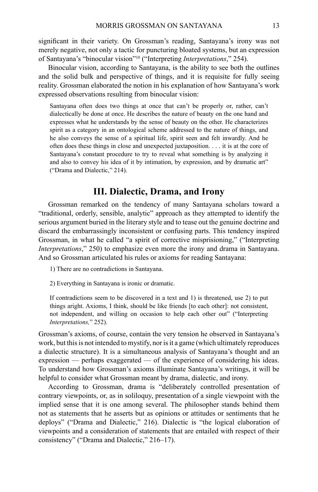significant in their variety. On Grossman's reading, Santayana's irony was not merely negative, not only a tactic for puncturing bloated systems, but an expression of Santayana's "binocular vision"10 ("Interpreting *Interpretations*," 254).

Binocular vision, according to Santayana, is the ability to see both the outlines and the solid bulk and perspective of things, and it is requisite for fully seeing reality. Grossman elaborated the notion in his explanation of how Santayana's work expressed observations resulting from binocular vision:

Santayana often does two things at once that can't be properly or, rather, can't dialectically be done at once. He describes the nature of beauty on the one hand and expresses what he understands by the sense of beauty on the other. He characterizes spirit as a category in an ontological scheme addressed to the nature of things, and he also conveys the sense of a spiritual life, spirit seen and felt inwardly. And he often does these things in close and unexpected juxtaposition. . . . it is at the core of Santayana's constant procedure to try to reveal what something is by analyzing it and also to convey his idea of it by intimation, by expression, and by dramatic art" ("Drama and Dialectic," 214).

### **III. Dialectic, Drama, and Irony**

Grossman remarked on the tendency of many Santayana scholars toward a "traditional, orderly, sensible, analytic" approach as they attempted to identify the serious argument buried in the literary style and to tease out the genuine doctrine and discard the embarrassingly inconsistent or confusing parts. This tendency inspired Grossman, in what he called "a spirit of corrective misprisioning," ("Interpreting *Interpretations*," 250) to emphasize even more the irony and drama in Santayana. And so Grossman articulated his rules or axioms for reading Santayana:

1) There are no contradictions in Santayana.

2) Everything in Santayana is ironic or dramatic.

If contradictions seem to be discovered in a text and 1) is threatened, use 2) to put things aright. Axioms, I think, should be like friends [to each other]: not consistent, not independent, and willing on occasion to help each other out" ("Interpreting *Interpretations,*" 252).

Grossman's axioms, of course, contain the very tension he observed in Santayana's work, but this is not intended to mystify, nor is it a game (which ultimately reproduces a dialectic structure). It is a simultaneous analysis of Santayana's thought and an expression — perhaps exaggerated — of the experience of considering his ideas. To understand how Grossman's axioms illuminate Santayana's writings, it will be helpful to consider what Grossman meant by drama, dialectic, and irony.

According to Grossman, drama is "deliberately controlled presentation of contrary viewpoints, or, as in soliloquy, presentation of a single viewpoint with the implied sense that it is one among several. The philosopher stands behind them not as statements that he asserts but as opinions or attitudes or sentiments that he deploys" ("Drama and Dialectic," 216). Dialectic is "the logical elaboration of viewpoints and a consideration of statements that are entailed with respect of their consistency" ("Drama and Dialectic," 216–17).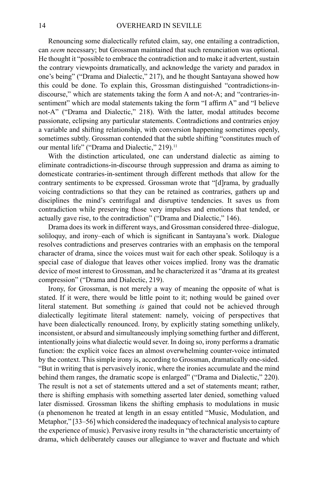Renouncing some dialectically refuted claim, say, one entailing a contradiction, can *seem* necessary; but Grossman maintained that such renunciation was optional. He thought it "possible to embrace the contradiction and to make it advertent, sustain the contrary viewpoints dramatically, and acknowledge the variety and paradox in one's being" ("Drama and Dialectic," 217), and he thought Santayana showed how this could be done. To explain this, Grossman distinguished "contradictions-indiscourse," which are statements taking the form A and not-A; and "contraries-insentiment" which are modal statements taking the form "I affirm A" and "I believe not-A" ("Drama and Dialectic," 218). With the latter, modal attitudes become passionate, eclipsing any particular statements. Contradictions and contraries enjoy a variable and shifting relationship, with conversion happening sometimes openly, sometimes subtly. Grossman contended that the subtle shifting "constitutes much of our mental life" ("Drama and Dialectic," 219).<sup>11</sup>

With the distinction articulated, one can understand dialectic as aiming to eliminate contradictions-in-discourse through suppression and drama as aiming to domesticate contraries-in-sentiment through different methods that allow for the contrary sentiments to be expressed. Grossman wrote that "[d]rama, by gradually voicing contradictions so that they can be retained as contraries, gathers up and disciplines the mind's centrifugal and disruptive tendencies. It saves us from contradiction while preserving those very impulses and emotions that tended, or actually gave rise, to the contradiction" ("Drama and Dialectic," 146).

Drama does its work in different ways, and Grossman considered three–dialogue, soliloquy, and irony–each of which is significant in Santayana's work. Dialogue resolves contradictions and preserves contraries with an emphasis on the temporal character of drama, since the voices must wait for each other speak. Soliloquy is a special case of dialogue that leaves other voices implied. Irony was the dramatic device of most interest to Grossman, and he characterized it as "drama at its greatest compression" ("Drama and Dialectic, 219).

Irony, for Grossman, is not merely a way of meaning the opposite of what is stated. If it were, there would be little point to it; nothing would be gained over literal statement. But something *is* gained that could not be achieved through dialectically legitimate literal statement: namely, voicing of perspectives that have been dialectically renounced. Irony, by explicitly stating something unlikely, inconsistent, or absurd and simultaneously implying something further and different, intentionally joins what dialectic would sever. In doing so, irony performs a dramatic function: the explicit voice faces an almost overwhelming counter-voice intimated by the context. This simple irony is, according to Grossman, dramatically one-sided. "But in writing that is pervasively ironic, where the ironies accumulate and the mind behind them ranges, the dramatic scope is enlarged" ("Drama and Dialectic," 220). The result is not a set of statements uttered and a set of statements meant; rather, there is shifting emphasis with something asserted later denied, something valued later dismissed. Grossman likens the shifting emphasis to modulations in music (a phenomenon he treated at length in an essay entitled "Music, Modulation, and Metaphor," [33–56] which considered the inadequacy of technical analysis to capture the experience of music). Pervasive irony results in "the characteristic uncertainty of drama, which deliberately causes our allegiance to waver and fluctuate and which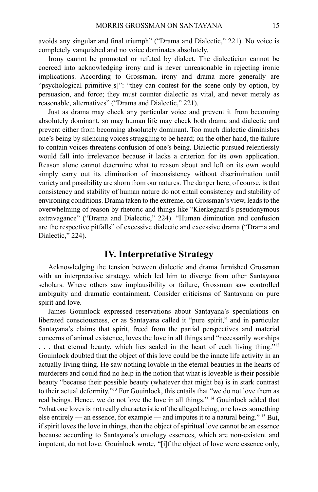avoids any singular and final triumph" ("Drama and Dialectic," 221). No voice is completely vanquished and no voice dominates absolutely.

Irony cannot be promoted or refuted by dialect. The dialectician cannot be coerced into acknowledging irony and is never unreasonable in rejecting ironic implications. According to Grossman, irony and drama more generally are "psychological primitive[s]": "they can contest for the scene only by option, by persuasion, and force; they must counter dialectic as vital, and never merely as reasonable, alternatives" ("Drama and Dialectic," 221).

Just as drama may check any particular voice and prevent it from becoming absolutely dominant, so may human life may check both drama and dialectic and prevent either from becoming absolutely dominant. Too much dialectic diminishes one's being by silencing voices struggling to be heard; on the other hand, the failure to contain voices threatens confusion of one's being. Dialectic pursued relentlessly would fall into irrelevance because it lacks a criterion for its own application. Reason alone cannot determine what to reason about and left on its own would simply carry out its elimination of inconsistency without discrimination until variety and possibility are shorn from our natures. The danger here, of course, is that consistency and stability of human nature do not entail consistency and stability of environing conditions. Drama taken to the extreme, on Grossman's view, leads to the overwhelming of reason by rhetoric and things like "Kierkegaard's pseudonymous extravagance" ("Drama and Dialectic," 224). "Human diminution and confusion are the respective pitfalls" of excessive dialectic and excessive drama ("Drama and Dialectic," 224).

## **IV. Interpretative Strategy**

Acknowledging the tension between dialectic and drama furnished Grossman with an interpretative strategy, which led him to diverge from other Santayana scholars. Where others saw implausibility or failure, Grossman saw controlled ambiguity and dramatic containment. Consider criticisms of Santayana on pure spirit and love.

James Gouinlock expressed reservations about Santayana's speculations on liberated consciousness, or as Santayana called it "pure spirit," and in particular Santayana's claims that spirit, freed from the partial perspectives and material concerns of animal existence, loves the love in all things and "necessarily worships

. . . that eternal beauty, which lies sealed in the heart of each living thing."12 Gouinlock doubted that the object of this love could be the innate life activity in an actually living thing. He saw nothing lovable in the eternal beauties in the hearts of murderers and could find no help in the notion that what is loveable is their possible beauty "because their possible beauty (whatever that might be) is in stark contrast to their actual deformity."13 For Gouinlock, this entails that "we do not love them as real beings. Hence, we do not love the love in all things." 14 Gouinlock added that "what one loves is not really characteristic of the alleged being; one loves something else entirely — an essence, for example — and imputes it to a natural being." 15 But, if spirit loves the love in things, then the object of spiritual love cannot be an essence because according to Santayana's ontology essences, which are non-existent and impotent, do not love. Gouinlock wrote, "[i]f the object of love were essence only,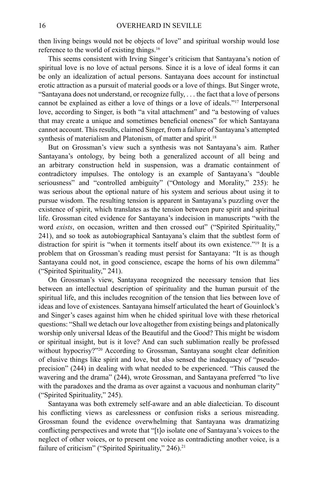then living beings would not be objects of love" and spiritual worship would lose reference to the world of existing things.16

This seems consistent with Irving Singer's criticism that Santayana's notion of spiritual love is no love of actual persons. Since it is a love of ideal forms it can be only an idealization of actual persons. Santayana does account for instinctual erotic attraction as a pursuit of material goods or a love of things. But Singer wrote, "Santayana does not understand, or recognize fully, . . . the fact that a love of persons cannot be explained as either a love of things or a love of ideals."17 Interpersonal love, according to Singer, is both "a vital attachment" and "a bestowing of values that may create a unique and sometimes beneficial oneness" for which Santayana cannot account. This results, claimed Singer, from a failure of Santayana's attempted synthesis of materialism and Platonism, of matter and spirit.<sup>18</sup>

But on Grossman's view such a synthesis was not Santayana's aim. Rather Santayana's ontology, by being both a generalized account of all being and an arbitrary construction held in suspension, was a dramatic containment of contradictory impulses. The ontology is an example of Santayana's "double seriousness" and "controlled ambiguity" ("Ontology and Morality," 235): he was serious about the optional nature of his system and serious about using it to pursue wisdom. The resulting tension is apparent in Santayana's puzzling over the existence of spirit, which translates as the tension between pure spirit and spiritual life. Grossman cited evidence for Santayana's indecision in manuscripts "with the word *exists*, on occasion, written and then crossed out" ("Spirited Spirituality," 241), and so took as autobiographical Santayana's claim that the subtlest form of distraction for spirit is "when it torments itself about its own existence."19 It is a problem that on Grossman's reading must persist for Santayana: "It is as though Santayana could not, in good conscience, escape the horns of his own dilemma" ("Spirited Spirituality," 241).

On Grossman's view, Santayana recognized the necessary tension that lies between an intellectual description of spirituality and the human pursuit of the spiritual life, and this includes recognition of the tension that lies between love of ideas and love of existences. Santayana himself articulated the heart of Gouinlock's and Singer's cases against him when he chided spiritual love with these rhetorical questions: "Shall we detach our love altogether from existing beings and platonically worship only universal Ideas of the Beautiful and the Good? This might be wisdom or spiritual insight, but is it love? And can such sublimation really be professed without hypocrisy?"<sup>20</sup> According to Grossman, Santayana sought clear definition of elusive things like spirit and love, but also sensed the inadequacy of "pseudoprecision" (244) in dealing with what needed to be experienced. "This caused the wavering and the drama" (244), wrote Grossman, and Santayana preferred "to live with the paradoxes and the drama as over against a vacuous and nonhuman clarity" ("Spirited Spirituality," 245).

Santayana was both extremely self-aware and an able dialectician. To discount his conflicting views as carelessness or confusion risks a serious misreading. Grossman found the evidence overwhelming that Santayana was dramatizing conflicting perspectives and wrote that "[t]o isolate one of Santayana's voices to the neglect of other voices, or to present one voice as contradicting another voice, is a failure of criticism" ("Spirited Spirituality," 246).<sup>21</sup>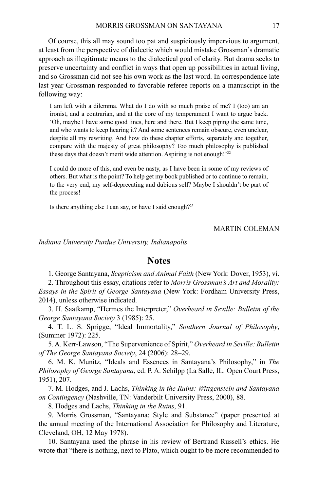Of course, this all may sound too pat and suspiciously impervious to argument, at least from the perspective of dialectic which would mistake Grossman's dramatic approach as illegitimate means to the dialectical goal of clarity. But drama seeks to preserve uncertainty and conflict in ways that open up possibilities in actual living, and so Grossman did not see his own work as the last word. In correspondence late last year Grossman responded to favorable referee reports on a manuscript in the following way:

I am left with a dilemma. What do I do with so much praise of me? I (too) am an ironist, and a contrarian, and at the core of my temperament I want to argue back. 'Oh, maybe I have some good lines, here and there. But I keep piping the same tune, and who wants to keep hearing it? And some sentences remain obscure, even unclear, despite all my rewriting. And how do these chapter efforts, separately and together, compare with the majesty of great philosophy? Too much philosophy is published these days that doesn't merit wide attention. Aspiring is not enough!'22

I could do more of this, and even be nasty, as I have been in some of my reviews of others. But what is the point? To help get my book published or to continue to remain, to the very end, my self-deprecating and dubious self? Maybe I shouldn't be part of the process!

Is there anything else I can say, or have I said enough?23

#### Martin Coleman

*Indiana University Purdue University, Indianapolis*

#### **Notes**

1. George Santayana, *Scepticism and Animal Faith* (New York: Dover, 1953), vi.

2. Throughout this essay, citations refer to *Morris Grossman's Art and Morality: Essays in the Spirit of George Santayana* (New York: Fordham University Press, 2014), unless otherwise indicated.

3. H. Saatkamp, "Hermes the Interpreter," *Overheard in Seville: Bulletin of the George Santayana Society* 3 (1985): 25.

4. T. L. S. Sprigge, "Ideal Immortality," *Southern Journal of Philosophy*, (Summer 1972): 225.

5. A. Kerr-Lawson, "The Supervenience of Spirit," *Overheard in Seville: Bulletin of The George Santayana Society*, 24 (2006): 28–29.

6. M. K. Munitz, "Ideals and Essences in Santayana's Philosophy," in *The Philosophy of George Santayana*, ed. P. A. Schilpp (La Salle, IL: Open Court Press, 1951), 207.

7. M. Hodges, and J. Lachs, *Thinking in the Ruins: Wittgenstein and Santayana on Contingency* (Nashville, TN: Vanderbilt University Press, 2000), 88.

8. Hodges and Lachs, *Thinking in the Ruins*, 91.

9. Morris Grossman, "Santayana: Style and Substance" (paper presented at the annual meeting of the International Association for Philosophy and Literature, Cleveland, OH, 12 May 1978).

10. Santayana used the phrase in his review of Bertrand Russell's ethics. He wrote that "there is nothing, next to Plato, which ought to be more recommended to